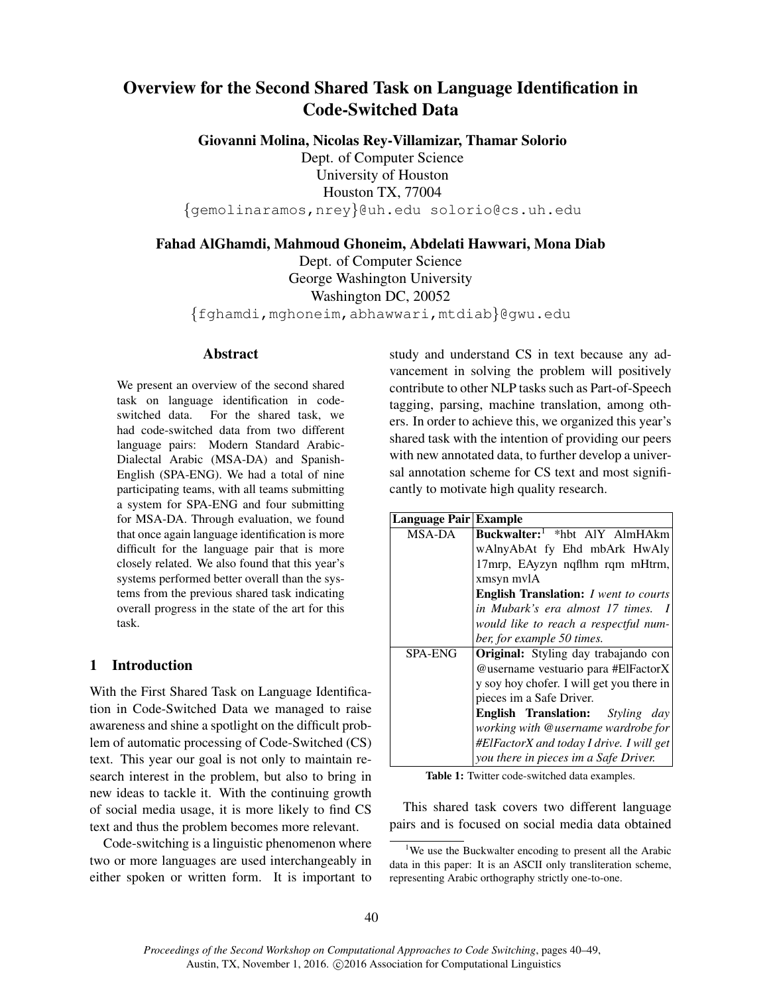# Overview for the Second Shared Task on Language Identification in Code-Switched Data

Giovanni Molina, Nicolas Rey-Villamizar, Thamar Solorio

Dept. of Computer Science University of Houston Houston TX, 77004 {gemolinaramos,nrey}@uh.edu solorio@cs.uh.edu

Fahad AlGhamdi, Mahmoud Ghoneim, Abdelati Hawwari, Mona Diab

Dept. of Computer Science George Washington University Washington DC, 20052 {fghamdi,mghoneim,abhawwari,mtdiab}@gwu.edu

## Abstract

We present an overview of the second shared task on language identification in codeswitched data. For the shared task, we had code-switched data from two different language pairs: Modern Standard Arabic-Dialectal Arabic (MSA-DA) and Spanish-English (SPA-ENG). We had a total of nine participating teams, with all teams submitting a system for SPA-ENG and four submitting for MSA-DA. Through evaluation, we found that once again language identification is more difficult for the language pair that is more closely related. We also found that this year's systems performed better overall than the systems from the previous shared task indicating overall progress in the state of the art for this task.

## 1 Introduction

With the First Shared Task on Language Identification in Code-Switched Data we managed to raise awareness and shine a spotlight on the difficult problem of automatic processing of Code-Switched (CS) text. This year our goal is not only to maintain research interest in the problem, but also to bring in new ideas to tackle it. With the continuing growth of social media usage, it is more likely to find CS text and thus the problem becomes more relevant.

Code-switching is a linguistic phenomenon where two or more languages are used interchangeably in either spoken or written form. It is important to study and understand CS in text because any advancement in solving the problem will positively contribute to other NLP tasks such as Part-of-Speech tagging, parsing, machine translation, among others. In order to achieve this, we organized this year's shared task with the intention of providing our peers with new annotated data, to further develop a universal annotation scheme for CS text and most significantly to motivate high quality research.

| Language Pair Example                               |
|-----------------------------------------------------|
| Buckwalter: <sup>1</sup> *hbt AlY AlmHAkm           |
| wAlnyAbAt fy Ehd mbArk HwAly                        |
| 17mrp, EAyzyn ngflhm rqm mHtrm,                     |
| xmsyn mylA                                          |
| <b>English Translation:</b> <i>I went to courts</i> |
| in Mubark's era almost 17 times. I                  |
| would like to reach a respectful num-               |
| ber, for example 50 times.                          |
| Original: Styling day trabajando con                |
| @username vestuario para #ElFactorX                 |
| y soy hoy chofer. I will get you there in           |
| pieces im a Safe Driver.                            |
| <b>English Translation:</b> Styling day             |
| working with @username wardrobe for                 |
| #ElFactorX and today I drive. I will get            |
| you there in pieces im a Safe Driver.               |
|                                                     |

Table 1: Twitter code-switched data examples.

This shared task covers two different language pairs and is focused on social media data obtained

<sup>&</sup>lt;sup>1</sup>We use the Buckwalter encoding to present all the Arabic data in this paper: It is an ASCII only transliteration scheme, representing Arabic orthography strictly one-to-one.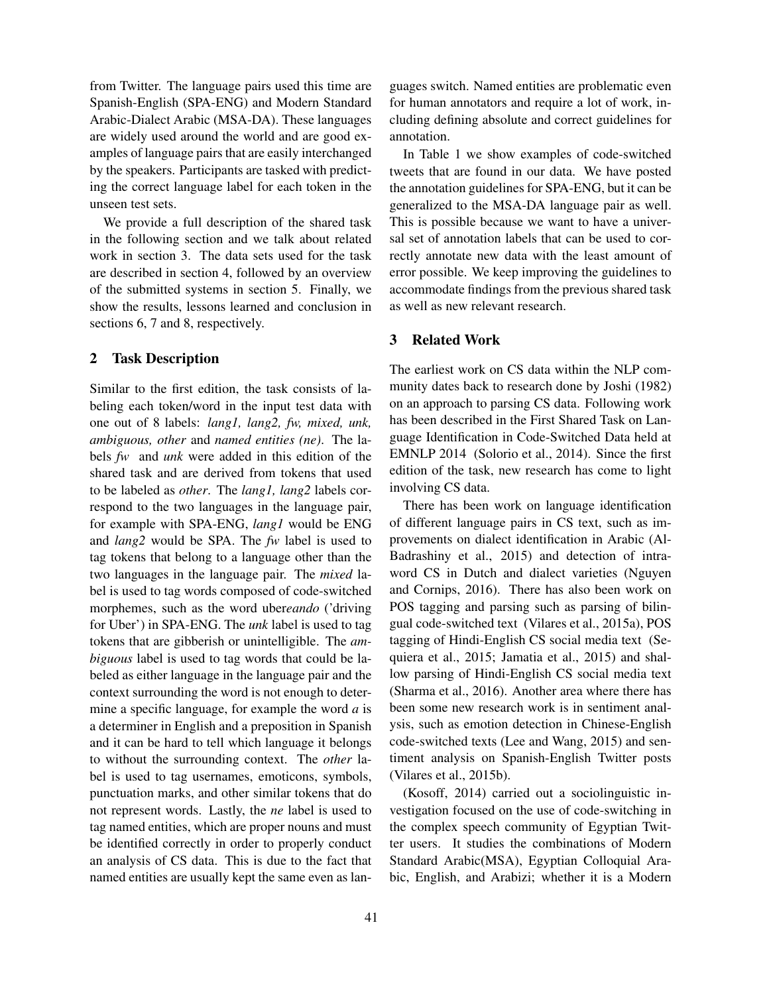from Twitter. The language pairs used this time are Spanish-English (SPA-ENG) and Modern Standard Arabic-Dialect Arabic (MSA-DA). These languages are widely used around the world and are good examples of language pairs that are easily interchanged by the speakers. Participants are tasked with predicting the correct language label for each token in the unseen test sets.

We provide a full description of the shared task in the following section and we talk about related work in section 3. The data sets used for the task are described in section 4, followed by an overview of the submitted systems in section 5. Finally, we show the results, lessons learned and conclusion in sections 6, 7 and 8, respectively.

## 2 Task Description

Similar to the first edition, the task consists of labeling each token/word in the input test data with one out of 8 labels: *lang1, lang2, fw, mixed, unk, ambiguous, other* and *named entities (ne)*. The labels *fw* and *unk* were added in this edition of the shared task and are derived from tokens that used to be labeled as *other*. The *lang1, lang2* labels correspond to the two languages in the language pair, for example with SPA-ENG, *lang1* would be ENG and *lang2* would be SPA. The *fw* label is used to tag tokens that belong to a language other than the two languages in the language pair. The *mixed* label is used to tag words composed of code-switched morphemes, such as the word uber*eando* ('driving for Uber') in SPA-ENG. The *unk* label is used to tag tokens that are gibberish or unintelligible. The *ambiguous* label is used to tag words that could be labeled as either language in the language pair and the context surrounding the word is not enough to determine a specific language, for example the word *a* is a determiner in English and a preposition in Spanish and it can be hard to tell which language it belongs to without the surrounding context. The *other* label is used to tag usernames, emoticons, symbols, punctuation marks, and other similar tokens that do not represent words. Lastly, the *ne* label is used to tag named entities, which are proper nouns and must be identified correctly in order to properly conduct an analysis of CS data. This is due to the fact that named entities are usually kept the same even as languages switch. Named entities are problematic even for human annotators and require a lot of work, including defining absolute and correct guidelines for annotation.

In Table 1 we show examples of code-switched tweets that are found in our data. We have posted the annotation guidelines for SPA-ENG, but it can be generalized to the MSA-DA language pair as well. This is possible because we want to have a universal set of annotation labels that can be used to correctly annotate new data with the least amount of error possible. We keep improving the guidelines to accommodate findings from the previous shared task as well as new relevant research.

## 3 Related Work

The earliest work on CS data within the NLP community dates back to research done by Joshi (1982) on an approach to parsing CS data. Following work has been described in the First Shared Task on Language Identification in Code-Switched Data held at EMNLP 2014 (Solorio et al., 2014). Since the first edition of the task, new research has come to light involving CS data.

There has been work on language identification of different language pairs in CS text, such as improvements on dialect identification in Arabic (Al-Badrashiny et al., 2015) and detection of intraword CS in Dutch and dialect varieties (Nguyen and Cornips, 2016). There has also been work on POS tagging and parsing such as parsing of bilingual code-switched text (Vilares et al., 2015a), POS tagging of Hindi-English CS social media text (Sequiera et al., 2015; Jamatia et al., 2015) and shallow parsing of Hindi-English CS social media text (Sharma et al., 2016). Another area where there has been some new research work is in sentiment analysis, such as emotion detection in Chinese-English code-switched texts (Lee and Wang, 2015) and sentiment analysis on Spanish-English Twitter posts (Vilares et al., 2015b).

(Kosoff, 2014) carried out a sociolinguistic investigation focused on the use of code-switching in the complex speech community of Egyptian Twitter users. It studies the combinations of Modern Standard Arabic(MSA), Egyptian Colloquial Arabic, English, and Arabizi; whether it is a Modern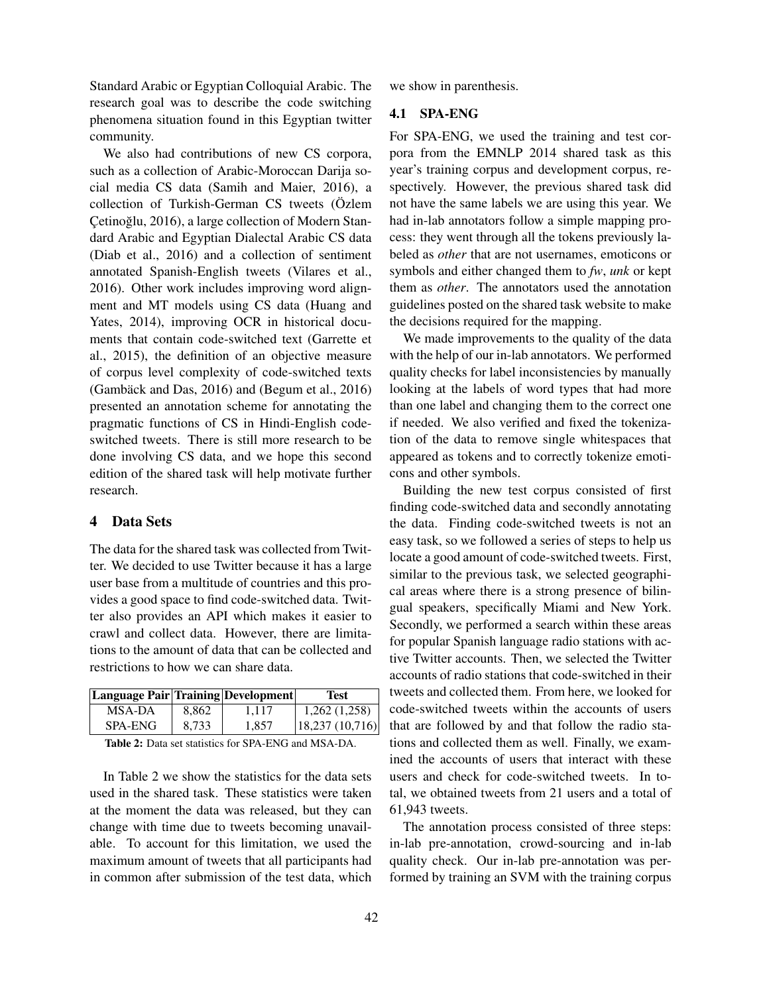Standard Arabic or Egyptian Colloquial Arabic. The research goal was to describe the code switching phenomena situation found in this Egyptian twitter community.

We also had contributions of new CS corpora, such as a collection of Arabic-Moroccan Darija social media CS data (Samih and Maier, 2016), a collection of Turkish-German CS tweets (Özlem Çetinoğlu, 2016), a large collection of Modern Standard Arabic and Egyptian Dialectal Arabic CS data (Diab et al., 2016) and a collection of sentiment annotated Spanish-English tweets (Vilares et al., 2016). Other work includes improving word alignment and MT models using CS data (Huang and Yates, 2014), improving OCR in historical documents that contain code-switched text (Garrette et al., 2015), the definition of an objective measure of corpus level complexity of code-switched texts  $(Gambäck and Das, 2016)$  and  $(Begum et al., 2016)$ presented an annotation scheme for annotating the pragmatic functions of CS in Hindi-English codeswitched tweets. There is still more research to be done involving CS data, and we hope this second edition of the shared task will help motivate further research.

## 4 Data Sets

The data for the shared task was collected from Twitter. We decided to use Twitter because it has a large user base from a multitude of countries and this provides a good space to find code-switched data. Twitter also provides an API which makes it easier to crawl and collect data. However, there are limitations to the amount of data that can be collected and restrictions to how we can share data.

| <b>Language Pair Training Development</b> |       |       | Test           |
|-------------------------------------------|-------|-------|----------------|
| MSA-DA                                    | 8.862 | 1.117 | 1,262(1,258)   |
| SPA-ENG                                   | 8.733 | 1.857 | 18,237(10,716) |

Table 2: Data set statistics for SPA-ENG and MSA-DA.

In Table 2 we show the statistics for the data sets used in the shared task. These statistics were taken at the moment the data was released, but they can change with time due to tweets becoming unavailable. To account for this limitation, we used the maximum amount of tweets that all participants had in common after submission of the test data, which we show in parenthesis.

## 4.1 SPA-ENG

For SPA-ENG, we used the training and test corpora from the EMNLP 2014 shared task as this year's training corpus and development corpus, respectively. However, the previous shared task did not have the same labels we are using this year. We had in-lab annotators follow a simple mapping process: they went through all the tokens previously labeled as *other* that are not usernames, emoticons or symbols and either changed them to *fw*, *unk* or kept them as *other*. The annotators used the annotation guidelines posted on the shared task website to make the decisions required for the mapping.

We made improvements to the quality of the data with the help of our in-lab annotators. We performed quality checks for label inconsistencies by manually looking at the labels of word types that had more than one label and changing them to the correct one if needed. We also verified and fixed the tokenization of the data to remove single whitespaces that appeared as tokens and to correctly tokenize emoticons and other symbols.

Building the new test corpus consisted of first finding code-switched data and secondly annotating the data. Finding code-switched tweets is not an easy task, so we followed a series of steps to help us locate a good amount of code-switched tweets. First, similar to the previous task, we selected geographical areas where there is a strong presence of bilingual speakers, specifically Miami and New York. Secondly, we performed a search within these areas for popular Spanish language radio stations with active Twitter accounts. Then, we selected the Twitter accounts of radio stations that code-switched in their tweets and collected them. From here, we looked for code-switched tweets within the accounts of users that are followed by and that follow the radio stations and collected them as well. Finally, we examined the accounts of users that interact with these users and check for code-switched tweets. In total, we obtained tweets from 21 users and a total of 61,943 tweets.

The annotation process consisted of three steps: in-lab pre-annotation, crowd-sourcing and in-lab quality check. Our in-lab pre-annotation was performed by training an SVM with the training corpus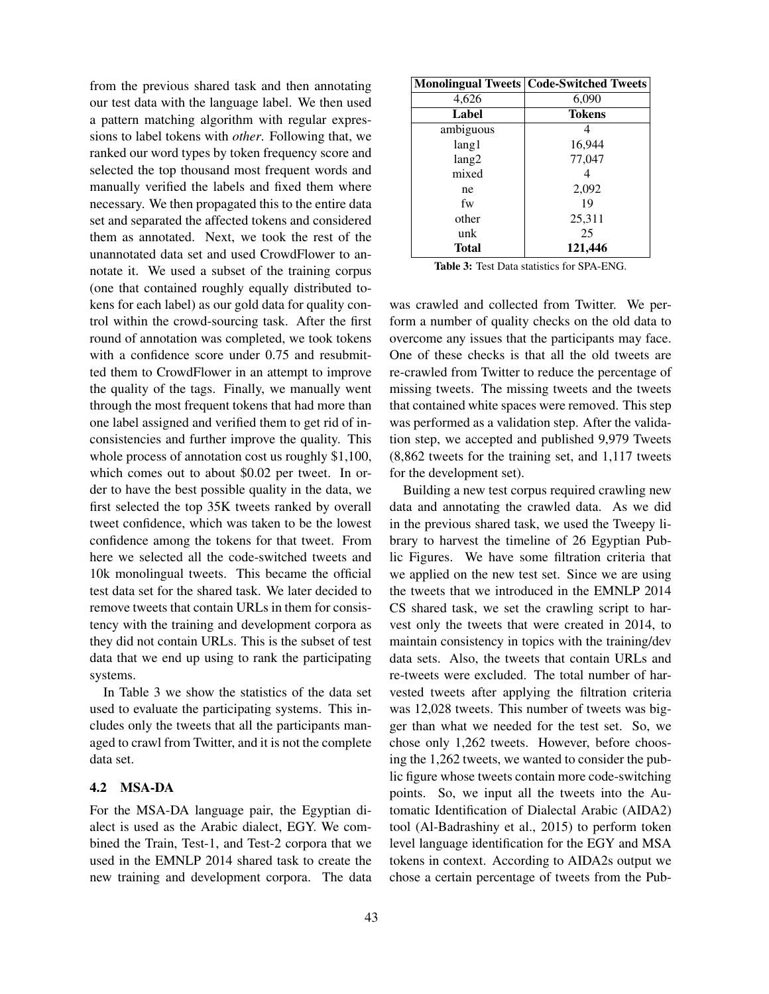from the previous shared task and then annotating our test data with the language label. We then used a pattern matching algorithm with regular expressions to label tokens with *other*. Following that, we ranked our word types by token frequency score and selected the top thousand most frequent words and manually verified the labels and fixed them where necessary. We then propagated this to the entire data set and separated the affected tokens and considered them as annotated. Next, we took the rest of the unannotated data set and used CrowdFlower to annotate it. We used a subset of the training corpus (one that contained roughly equally distributed tokens for each label) as our gold data for quality control within the crowd-sourcing task. After the first round of annotation was completed, we took tokens with a confidence score under 0.75 and resubmitted them to CrowdFlower in an attempt to improve the quality of the tags. Finally, we manually went through the most frequent tokens that had more than one label assigned and verified them to get rid of inconsistencies and further improve the quality. This whole process of annotation cost us roughly \$1,100, which comes out to about \$0.02 per tweet. In order to have the best possible quality in the data, we first selected the top 35K tweets ranked by overall tweet confidence, which was taken to be the lowest confidence among the tokens for that tweet. From here we selected all the code-switched tweets and 10k monolingual tweets. This became the official test data set for the shared task. We later decided to remove tweets that contain URLs in them for consistency with the training and development corpora as they did not contain URLs. This is the subset of test data that we end up using to rank the participating systems.

In Table 3 we show the statistics of the data set used to evaluate the participating systems. This includes only the tweets that all the participants managed to crawl from Twitter, and it is not the complete data set.

#### 4.2 MSA-DA

For the MSA-DA language pair, the Egyptian dialect is used as the Arabic dialect, EGY. We combined the Train, Test-1, and Test-2 corpora that we used in the EMNLP 2014 shared task to create the new training and development corpora. The data

|           | <b>Monolingual Tweets   Code-Switched Tweets</b> |
|-----------|--------------------------------------------------|
| 4,626     | 6,090                                            |
| Label     | <b>Tokens</b>                                    |
| ambiguous |                                                  |
| lang1     | 16,944                                           |
| lang2     | 77,047                                           |
| mixed     |                                                  |
| ne        | 2,092                                            |
| fw        | 19                                               |
| other     | 25,311                                           |
| unk       | 25                                               |
| Total     | 121,446                                          |

Table 3: Test Data statistics for SPA-ENG.

was crawled and collected from Twitter. We perform a number of quality checks on the old data to overcome any issues that the participants may face. One of these checks is that all the old tweets are re-crawled from Twitter to reduce the percentage of missing tweets. The missing tweets and the tweets that contained white spaces were removed. This step was performed as a validation step. After the validation step, we accepted and published 9,979 Tweets (8,862 tweets for the training set, and 1,117 tweets for the development set).

Building a new test corpus required crawling new data and annotating the crawled data. As we did in the previous shared task, we used the Tweepy library to harvest the timeline of 26 Egyptian Public Figures. We have some filtration criteria that we applied on the new test set. Since we are using the tweets that we introduced in the EMNLP 2014 CS shared task, we set the crawling script to harvest only the tweets that were created in 2014, to maintain consistency in topics with the training/dev data sets. Also, the tweets that contain URLs and re-tweets were excluded. The total number of harvested tweets after applying the filtration criteria was 12,028 tweets. This number of tweets was bigger than what we needed for the test set. So, we chose only 1,262 tweets. However, before choosing the 1,262 tweets, we wanted to consider the public figure whose tweets contain more code-switching points. So, we input all the tweets into the Automatic Identification of Dialectal Arabic (AIDA2) tool (Al-Badrashiny et al., 2015) to perform token level language identification for the EGY and MSA tokens in context. According to AIDA2s output we chose a certain percentage of tweets from the Pub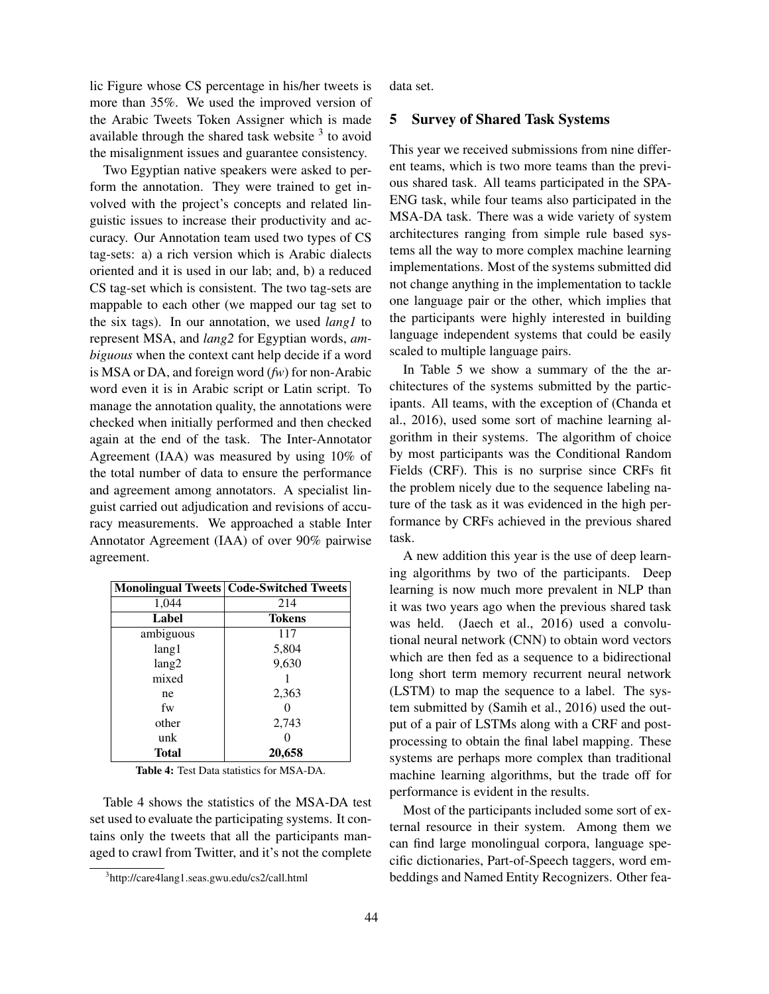lic Figure whose CS percentage in his/her tweets is more than 35%. We used the improved version of the Arabic Tweets Token Assigner which is made available through the shared task website  $3$  to avoid the misalignment issues and guarantee consistency.

Two Egyptian native speakers were asked to perform the annotation. They were trained to get involved with the project's concepts and related linguistic issues to increase their productivity and accuracy. Our Annotation team used two types of CS tag-sets: a) a rich version which is Arabic dialects oriented and it is used in our lab; and, b) a reduced CS tag-set which is consistent. The two tag-sets are mappable to each other (we mapped our tag set to the six tags). In our annotation, we used *lang1* to represent MSA, and *lang2* for Egyptian words, *ambiguous* when the context cant help decide if a word is MSA or DA, and foreign word (*fw*) for non-Arabic word even it is in Arabic script or Latin script. To manage the annotation quality, the annotations were checked when initially performed and then checked again at the end of the task. The Inter-Annotator Agreement (IAA) was measured by using 10% of the total number of data to ensure the performance and agreement among annotators. A specialist linguist carried out adjudication and revisions of accuracy measurements. We approached a stable Inter Annotator Agreement (IAA) of over 90% pairwise agreement.

|           | <b>Monolingual Tweets   Code-Switched Tweets</b> |
|-----------|--------------------------------------------------|
| 1,044     | 214                                              |
| Label     | <b>Tokens</b>                                    |
| ambiguous | 117                                              |
| lang 1    | 5,804                                            |
| lang2     | 9,630                                            |
| mixed     |                                                  |
| ne        | 2,363                                            |
| fw        |                                                  |
| other     | 2,743                                            |
| unk       |                                                  |
| Total     | 20,658                                           |

Table 4: Test Data statistics for MSA-DA.

Table 4 shows the statistics of the MSA-DA test set used to evaluate the participating systems. It contains only the tweets that all the participants managed to crawl from Twitter, and it's not the complete

data set.

#### 5 Survey of Shared Task Systems

This year we received submissions from nine different teams, which is two more teams than the previous shared task. All teams participated in the SPA-ENG task, while four teams also participated in the MSA-DA task. There was a wide variety of system architectures ranging from simple rule based systems all the way to more complex machine learning implementations. Most of the systems submitted did not change anything in the implementation to tackle one language pair or the other, which implies that the participants were highly interested in building language independent systems that could be easily scaled to multiple language pairs.

In Table 5 we show a summary of the the architectures of the systems submitted by the participants. All teams, with the exception of (Chanda et al., 2016), used some sort of machine learning algorithm in their systems. The algorithm of choice by most participants was the Conditional Random Fields (CRF). This is no surprise since CRFs fit the problem nicely due to the sequence labeling nature of the task as it was evidenced in the high performance by CRFs achieved in the previous shared task.

A new addition this year is the use of deep learning algorithms by two of the participants. Deep learning is now much more prevalent in NLP than it was two years ago when the previous shared task was held. (Jaech et al., 2016) used a convolutional neural network (CNN) to obtain word vectors which are then fed as a sequence to a bidirectional long short term memory recurrent neural network (LSTM) to map the sequence to a label. The system submitted by (Samih et al., 2016) used the output of a pair of LSTMs along with a CRF and postprocessing to obtain the final label mapping. These systems are perhaps more complex than traditional machine learning algorithms, but the trade off for performance is evident in the results.

Most of the participants included some sort of external resource in their system. Among them we can find large monolingual corpora, language specific dictionaries, Part-of-Speech taggers, word embeddings and Named Entity Recognizers. Other fea-

<sup>3</sup> http://care4lang1.seas.gwu.edu/cs2/call.html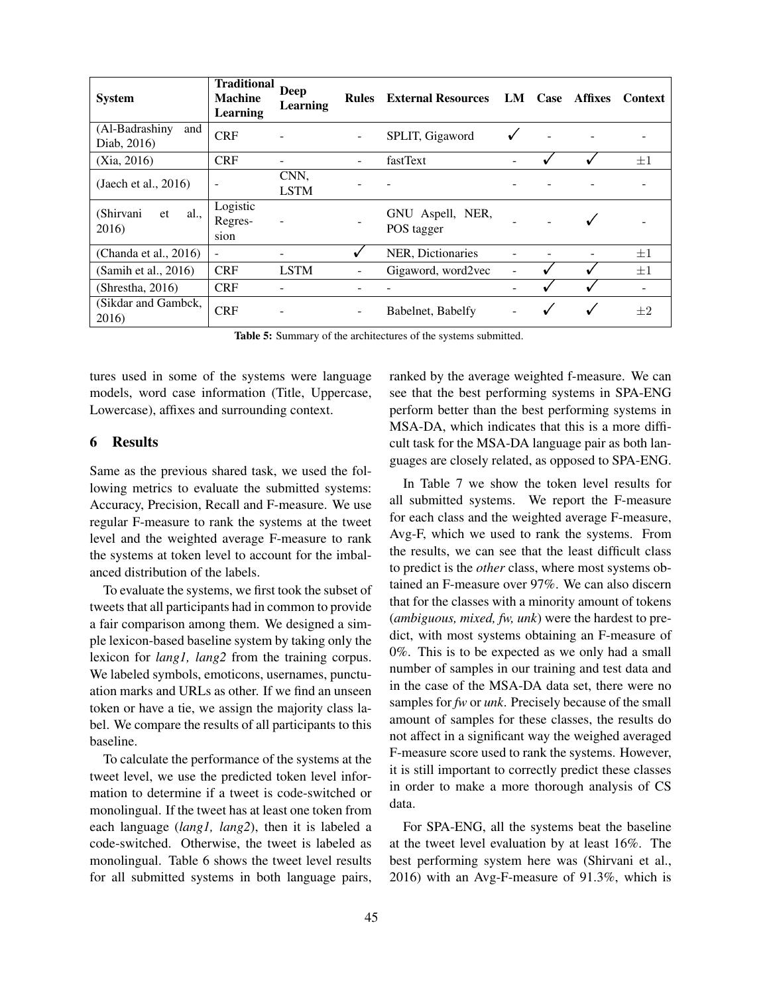| <b>System</b>                        | <b>Traditional</b><br><b>Machine</b><br>Learning | <b>Deep</b><br>Learning | <b>Rules</b>             | <b>External Resources</b>      | LM | Case | Affixes | <b>Context</b> |
|--------------------------------------|--------------------------------------------------|-------------------------|--------------------------|--------------------------------|----|------|---------|----------------|
| (Al-Badrashiny<br>and<br>Diab, 2016) | <b>CRF</b>                                       |                         | $\overline{\phantom{a}}$ | SPLIT, Gigaword                |    |      |         |                |
| (Xia, 2016)                          | <b>CRF</b>                                       |                         |                          | fastText                       |    |      |         | $+1$           |
| (Jaech et al., $2016$ )              | $\overline{\phantom{a}}$                         | CNN.<br><b>LSTM</b>     |                          |                                |    |      |         |                |
| (Shirvani<br>al.<br>et<br>2016)      | Logistic<br>Regres-<br>sion                      |                         |                          | GNU Aspell, NER,<br>POS tagger |    |      |         |                |
| (Chanda et al., $2016$ )             | $\blacksquare$                                   |                         | √                        | NER, Dictionaries              |    |      |         | $+1$           |
| (Samih et al., 2016)                 | <b>CRF</b>                                       | <b>LSTM</b>             |                          | Gigaword, word2vec             |    |      |         | $+1$           |
| (Shrestha, 2016)                     | <b>CRF</b>                                       |                         |                          |                                |    |      |         |                |
| (Sikdar and Gambck,<br>2016)         | <b>CRF</b>                                       | ۰                       |                          | Babelnet, Babelfy              |    |      |         | $+2$           |

Table 5: Summary of the architectures of the systems submitted.

tures used in some of the systems were language models, word case information (Title, Uppercase, Lowercase), affixes and surrounding context.

## 6 Results

Same as the previous shared task, we used the following metrics to evaluate the submitted systems: Accuracy, Precision, Recall and F-measure. We use regular F-measure to rank the systems at the tweet level and the weighted average F-measure to rank the systems at token level to account for the imbalanced distribution of the labels.

To evaluate the systems, we first took the subset of tweets that all participants had in common to provide a fair comparison among them. We designed a simple lexicon-based baseline system by taking only the lexicon for *lang1, lang2* from the training corpus. We labeled symbols, emoticons, usernames, punctuation marks and URLs as other. If we find an unseen token or have a tie, we assign the majority class label. We compare the results of all participants to this baseline.

To calculate the performance of the systems at the tweet level, we use the predicted token level information to determine if a tweet is code-switched or monolingual. If the tweet has at least one token from each language (*lang1, lang2*), then it is labeled a code-switched. Otherwise, the tweet is labeled as monolingual. Table 6 shows the tweet level results for all submitted systems in both language pairs,

ranked by the average weighted f-measure. We can see that the best performing systems in SPA-ENG perform better than the best performing systems in MSA-DA, which indicates that this is a more difficult task for the MSA-DA language pair as both languages are closely related, as opposed to SPA-ENG.

In Table 7 we show the token level results for all submitted systems. We report the F-measure for each class and the weighted average F-measure, Avg-F, which we used to rank the systems. From the results, we can see that the least difficult class to predict is the *other* class, where most systems obtained an F-measure over 97%. We can also discern that for the classes with a minority amount of tokens (*ambiguous, mixed, fw, unk*) were the hardest to predict, with most systems obtaining an F-measure of 0%. This is to be expected as we only had a small number of samples in our training and test data and in the case of the MSA-DA data set, there were no samples for *fw* or *unk*. Precisely because of the small amount of samples for these classes, the results do not affect in a significant way the weighed averaged F-measure score used to rank the systems. However, it is still important to correctly predict these classes in order to make a more thorough analysis of CS data.

For SPA-ENG, all the systems beat the baseline at the tweet level evaluation by at least 16%. The best performing system here was (Shirvani et al., 2016) with an Avg-F-measure of 91.3%, which is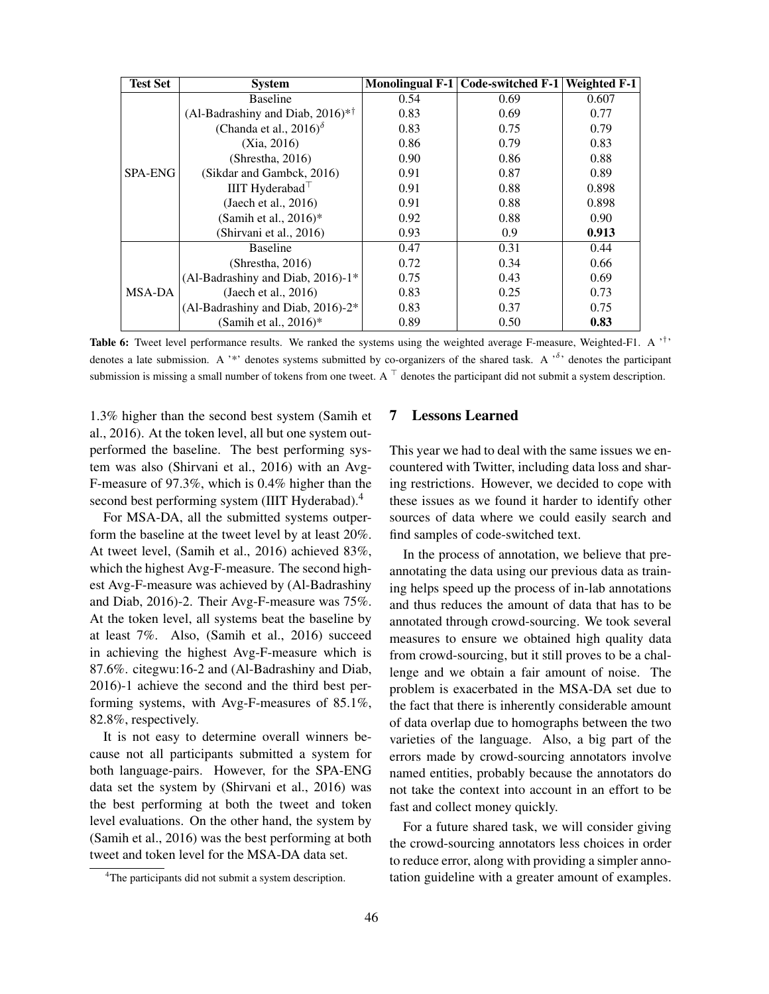| <b>Test Set</b> | <b>System</b>                                 |      | Monolingual F-1 Code-switched F-1 | <b>Weighted F-1</b> |
|-----------------|-----------------------------------------------|------|-----------------------------------|---------------------|
|                 | <b>Baseline</b>                               | 0.54 | 0.69                              | 0.607               |
|                 | (Al-Badrashiny and Diab, $2016$ <sup>*†</sup> | 0.83 | 0.69                              | 0.77                |
|                 | (Chanda et al., 2016) $\delta$                | 0.83 | 0.75                              | 0.79                |
|                 | (Xia, 2016)                                   | 0.86 | 0.79                              | 0.83                |
|                 | (Shrestha, 2016)                              | 0.90 | 0.86                              | 0.88                |
| <b>SPA-ENG</b>  | (Sikdar and Gambck, 2016)                     | 0.91 | 0.87                              | 0.89                |
|                 | IIIT Hyderabad $\top$                         | 0.91 | 0.88                              | 0.898               |
|                 | (Jaech et al., $2016$ )                       | 0.91 | 0.88                              | 0.898               |
|                 | (Samih et al., $2016$ )*                      | 0.92 | 0.88                              | 0.90                |
|                 | (Shirvani et al., 2016)                       | 0.93 | 0.9                               | 0.913               |
|                 | <b>Baseline</b>                               | 0.47 | 0.31                              | 0.44                |
|                 | (Shrestha, 2016)                              | 0.72 | 0.34                              | 0.66                |
|                 | (Al-Badrashiny and Diab, 2016)-1*             | 0.75 | 0.43                              | 0.69                |
| MSA-DA          | (Jaech et al., $2016$ )                       | 0.83 | 0.25                              | 0.73                |
|                 | (Al-Badrashiny and Diab, 2016)-2*             | 0.83 | 0.37                              | 0.75                |
|                 | (Samih et al., $2016$ )*                      | 0.89 | 0.50                              | 0.83                |

Table 6: Tweet level performance results. We ranked the systems using the weighted average F-measure, Weighted-F1. A '<sup>†</sup>' denotes a late submission. A '\*' denotes systems submitted by co-organizers of the shared task. A ' $\delta$ ' denotes the participant submission is missing a small number of tokens from one tweet. A  $\top$  denotes the participant did not submit a system description.

1.3% higher than the second best system (Samih et al., 2016). At the token level, all but one system outperformed the baseline. The best performing system was also (Shirvani et al., 2016) with an Avg-F-measure of 97.3%, which is 0.4% higher than the second best performing system (IIIT Hyderabad).<sup>4</sup>

For MSA-DA, all the submitted systems outperform the baseline at the tweet level by at least 20%. At tweet level, (Samih et al., 2016) achieved 83%, which the highest Avg-F-measure. The second highest Avg-F-measure was achieved by (Al-Badrashiny and Diab, 2016)-2. Their Avg-F-measure was 75%. At the token level, all systems beat the baseline by at least 7%. Also, (Samih et al., 2016) succeed in achieving the highest Avg-F-measure which is 87.6%. citegwu:16-2 and (Al-Badrashiny and Diab, 2016)-1 achieve the second and the third best performing systems, with Avg-F-measures of 85.1%, 82.8%, respectively.

It is not easy to determine overall winners because not all participants submitted a system for both language-pairs. However, for the SPA-ENG data set the system by (Shirvani et al., 2016) was the best performing at both the tweet and token level evaluations. On the other hand, the system by (Samih et al., 2016) was the best performing at both tweet and token level for the MSA-DA data set.

## 7 Lessons Learned

This year we had to deal with the same issues we encountered with Twitter, including data loss and sharing restrictions. However, we decided to cope with these issues as we found it harder to identify other sources of data where we could easily search and find samples of code-switched text.

In the process of annotation, we believe that preannotating the data using our previous data as training helps speed up the process of in-lab annotations and thus reduces the amount of data that has to be annotated through crowd-sourcing. We took several measures to ensure we obtained high quality data from crowd-sourcing, but it still proves to be a challenge and we obtain a fair amount of noise. The problem is exacerbated in the MSA-DA set due to the fact that there is inherently considerable amount of data overlap due to homographs between the two varieties of the language. Also, a big part of the errors made by crowd-sourcing annotators involve named entities, probably because the annotators do not take the context into account in an effort to be fast and collect money quickly.

For a future shared task, we will consider giving the crowd-sourcing annotators less choices in order to reduce error, along with providing a simpler annotation guideline with a greater amount of examples.

<sup>&</sup>lt;sup>4</sup>The participants did not submit a system description.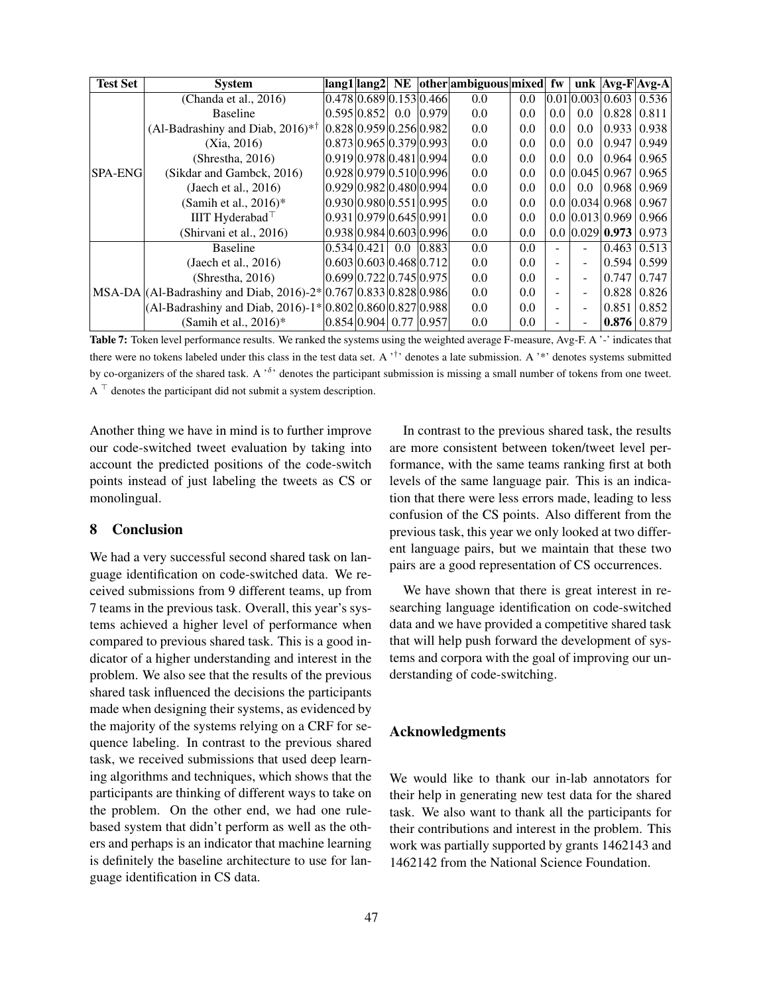| <b>Test Set</b> | <b>System</b>                                                    |                                                |  | lang1 lang2  NE  other ambiguous mixed  fw |     |                          |     |                       | unk $Avg-FAvg-A$   |
|-----------------|------------------------------------------------------------------|------------------------------------------------|--|--------------------------------------------|-----|--------------------------|-----|-----------------------|--------------------|
|                 | (Chanda et al., $2016$ )                                         | [0.478]0.689]0.153]0.466                       |  | 0.0                                        | 0.0 |                          |     | 0.01 0.003 0.603      | 0.536              |
|                 | <b>Baseline</b>                                                  | $0.595 \times 0.852 \times 0.0$ $0.979$        |  | 0.0                                        | 0.0 | 0.0                      | 0.0 | 0.828                 | 0.811              |
|                 | (Al-Badrashiny and Diab, $2016$ <sup>*†</sup>                    | 0.828 0.959 0.256 0.982                        |  | 0.0                                        | 0.0 | 0.0                      | 0.0 | 0.933                 | 0.938              |
|                 | (Xia, 2016)                                                      | 0.873 0.965 0.379 0.993                        |  | 0.0                                        | 0.0 | 0.0                      | 0.0 | 0.947                 | 0.949              |
|                 | (Shrestha, 2016)                                                 | $0.919 \mid 0.978 \mid 0.481 \mid 0.994 \mid$  |  | 0.0                                        | 0.0 | 0.0                      | 0.0 | 0.964                 | 0.965              |
| <b>SPA-ENG</b>  | (Sikdar and Gambck, 2016)                                        | 0.928 0.979 0.510 0.996                        |  | 0.0                                        | 0.0 |                          |     | $0.0$ $0.045$ $0.967$ | 0.965              |
|                 | (Jaech et al., $2016$ )                                          | 0.92910.98210.48010.994                        |  | 0.0                                        | 0.0 | 0.0                      | 0.0 | 0.968                 | 0.969              |
|                 | (Samih et al., $2016$ )*                                         | 0.930 0.980 0.551 0.995                        |  | 0.0                                        | 0.0 |                          |     | $0.0$ $0.034$ $0.968$ | 0.967              |
|                 | IIIT Hyderabad                                                   | $0.931 \times 0.979 \times 0.645 \times 0.991$ |  | 0.0                                        | 0.0 |                          |     | $0.0$ $0.013$ $0.969$ | 0.966              |
|                 | (Shirvani et al., 2016)                                          | $0.938 \mid 0.984 \mid 0.603 \mid 0.996$       |  | 0.0                                        | 0.0 |                          |     | $0.0$ $0.029$ $0.973$ | 0.973              |
|                 | <b>Baseline</b>                                                  | $0.534 \times 0.421 \times 0.0 \times 0.883$   |  | 0.0                                        | 0.0 | ÷                        |     | 0.463                 | 0.513              |
|                 | (Jaech et al., $2016$ )                                          | 0.603 0.603 0.468 0.712                        |  | 0.0                                        | 0.0 | $\blacksquare$           |     | 0.594                 | 0.599              |
|                 | (Shrestha, 2016)                                                 | $0.699 \mid 0.722 \mid 0.745 \mid 0.975$       |  | 0.0                                        | 0.0 | ٠                        |     | 0.747                 | 0.747              |
|                 | MSA-DA (Al-Badrashiny and Diab, 2016)-2* 0.767 0.833 0.828 0.986 |                                                |  | 0.0                                        | 0.0 | $\overline{\phantom{0}}$ |     | 0.828                 | 0.826              |
|                 | $ $ (Al-Badrashiny and Diab, 2016)-1* $ 0.802 0.860 0.827 0.988$ |                                                |  | 0.0                                        | 0.0 | $\overline{\phantom{0}}$ |     | 0.851                 | 0.852              |
|                 | (Samih et al., $2016$ )*                                         | 0.854 0.904 0.77 0.957                         |  | 0.0                                        | 0.0 |                          |     |                       | $0.876 \mid 0.879$ |

Table 7: Token level performance results. We ranked the systems using the weighted average F-measure, Avg-F. A '-' indicates that there were no tokens labeled under this class in the test data set. A  $\cdot^{\dagger}$  denotes a late submission. A  $\cdot^*$  denotes systems submitted by co-organizers of the shared task. A  $\delta$  denotes the participant submission is missing a small number of tokens from one tweet. A <sup>&</sup>gt; denotes the participant did not submit a system description.

Another thing we have in mind is to further improve our code-switched tweet evaluation by taking into account the predicted positions of the code-switch points instead of just labeling the tweets as CS or monolingual.

### 8 Conclusion

We had a very successful second shared task on language identification on code-switched data. We received submissions from 9 different teams, up from 7 teams in the previous task. Overall, this year's systems achieved a higher level of performance when compared to previous shared task. This is a good indicator of a higher understanding and interest in the problem. We also see that the results of the previous shared task influenced the decisions the participants made when designing their systems, as evidenced by the majority of the systems relying on a CRF for sequence labeling. In contrast to the previous shared task, we received submissions that used deep learning algorithms and techniques, which shows that the participants are thinking of different ways to take on the problem. On the other end, we had one rulebased system that didn't perform as well as the others and perhaps is an indicator that machine learning is definitely the baseline architecture to use for language identification in CS data.

In contrast to the previous shared task, the results are more consistent between token/tweet level performance, with the same teams ranking first at both levels of the same language pair. This is an indication that there were less errors made, leading to less confusion of the CS points. Also different from the previous task, this year we only looked at two different language pairs, but we maintain that these two pairs are a good representation of CS occurrences.

We have shown that there is great interest in researching language identification on code-switched data and we have provided a competitive shared task that will help push forward the development of systems and corpora with the goal of improving our understanding of code-switching.

## Acknowledgments

We would like to thank our in-lab annotators for their help in generating new test data for the shared task. We also want to thank all the participants for their contributions and interest in the problem. This work was partially supported by grants 1462143 and 1462142 from the National Science Foundation.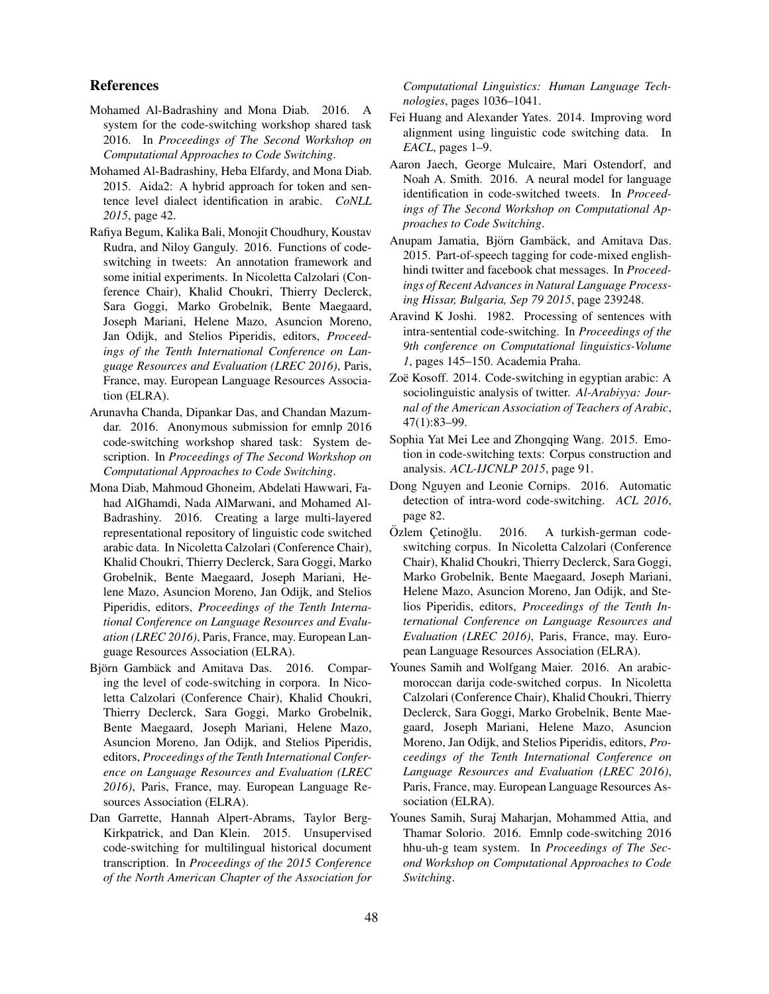## References

- Mohamed Al-Badrashiny and Mona Diab. 2016. A system for the code-switching workshop shared task 2016. In *Proceedings of The Second Workshop on Computational Approaches to Code Switching*.
- Mohamed Al-Badrashiny, Heba Elfardy, and Mona Diab. 2015. Aida2: A hybrid approach for token and sentence level dialect identification in arabic. *CoNLL 2015*, page 42.
- Rafiya Begum, Kalika Bali, Monojit Choudhury, Koustav Rudra, and Niloy Ganguly. 2016. Functions of codeswitching in tweets: An annotation framework and some initial experiments. In Nicoletta Calzolari (Conference Chair), Khalid Choukri, Thierry Declerck, Sara Goggi, Marko Grobelnik, Bente Maegaard, Joseph Mariani, Helene Mazo, Asuncion Moreno, Jan Odijk, and Stelios Piperidis, editors, *Proceedings of the Tenth International Conference on Language Resources and Evaluation (LREC 2016)*, Paris, France, may. European Language Resources Association (ELRA).
- Arunavha Chanda, Dipankar Das, and Chandan Mazumdar. 2016. Anonymous submission for emnlp 2016 code-switching workshop shared task: System description. In *Proceedings of The Second Workshop on Computational Approaches to Code Switching*.
- Mona Diab, Mahmoud Ghoneim, Abdelati Hawwari, Fahad AlGhamdi, Nada AlMarwani, and Mohamed Al-Badrashiny. 2016. Creating a large multi-layered representational repository of linguistic code switched arabic data. In Nicoletta Calzolari (Conference Chair), Khalid Choukri, Thierry Declerck, Sara Goggi, Marko Grobelnik, Bente Maegaard, Joseph Mariani, Helene Mazo, Asuncion Moreno, Jan Odijk, and Stelios Piperidis, editors, *Proceedings of the Tenth International Conference on Language Resources and Evaluation (LREC 2016)*, Paris, France, may. European Language Resources Association (ELRA).
- Björn Gambäck and Amitava Das. 2016. Comparing the level of code-switching in corpora. In Nicoletta Calzolari (Conference Chair), Khalid Choukri, Thierry Declerck, Sara Goggi, Marko Grobelnik, Bente Maegaard, Joseph Mariani, Helene Mazo, Asuncion Moreno, Jan Odijk, and Stelios Piperidis, editors, *Proceedings of the Tenth International Conference on Language Resources and Evaluation (LREC 2016)*, Paris, France, may. European Language Resources Association (ELRA).
- Dan Garrette, Hannah Alpert-Abrams, Taylor Berg-Kirkpatrick, and Dan Klein. 2015. Unsupervised code-switching for multilingual historical document transcription. In *Proceedings of the 2015 Conference of the North American Chapter of the Association for*

*Computational Linguistics: Human Language Technologies*, pages 1036–1041.

- Fei Huang and Alexander Yates. 2014. Improving word alignment using linguistic code switching data. In *EACL*, pages 1–9.
- Aaron Jaech, George Mulcaire, Mari Ostendorf, and Noah A. Smith. 2016. A neural model for language identification in code-switched tweets. In *Proceedings of The Second Workshop on Computational Approaches to Code Switching*.
- Anupam Jamatia, Björn Gambäck, and Amitava Das. 2015. Part-of-speech tagging for code-mixed englishhindi twitter and facebook chat messages. In *Proceedings of Recent Advances in Natural Language Processing Hissar, Bulgaria, Sep 79 2015*, page 239248.
- Aravind K Joshi. 1982. Processing of sentences with intra-sentential code-switching. In *Proceedings of the 9th conference on Computational linguistics-Volume 1*, pages 145–150. Academia Praha.
- Zoë Kosoff. 2014. Code-switching in egyptian arabic: A sociolinguistic analysis of twitter. *Al-Arabiyya: Journal of the American Association of Teachers of Arabic*, 47(1):83–99.
- Sophia Yat Mei Lee and Zhongqing Wang. 2015. Emotion in code-switching texts: Corpus construction and analysis. *ACL-IJCNLP 2015*, page 91.
- Dong Nguyen and Leonie Cornips. 2016. Automatic detection of intra-word code-switching. *ACL 2016*, page 82.
- Özlem Çetinoğlu. 2016. A turkish-german codeswitching corpus. In Nicoletta Calzolari (Conference Chair), Khalid Choukri, Thierry Declerck, Sara Goggi, Marko Grobelnik, Bente Maegaard, Joseph Mariani, Helene Mazo, Asuncion Moreno, Jan Odijk, and Stelios Piperidis, editors, *Proceedings of the Tenth International Conference on Language Resources and Evaluation (LREC 2016)*, Paris, France, may. European Language Resources Association (ELRA).
- Younes Samih and Wolfgang Maier. 2016. An arabicmoroccan darija code-switched corpus. In Nicoletta Calzolari (Conference Chair), Khalid Choukri, Thierry Declerck, Sara Goggi, Marko Grobelnik, Bente Maegaard, Joseph Mariani, Helene Mazo, Asuncion Moreno, Jan Odijk, and Stelios Piperidis, editors, *Proceedings of the Tenth International Conference on Language Resources and Evaluation (LREC 2016)*, Paris, France, may. European Language Resources Association (ELRA).
- Younes Samih, Suraj Maharjan, Mohammed Attia, and Thamar Solorio. 2016. Emnlp code-switching 2016 hhu-uh-g team system. In *Proceedings of The Second Workshop on Computational Approaches to Code Switching*.